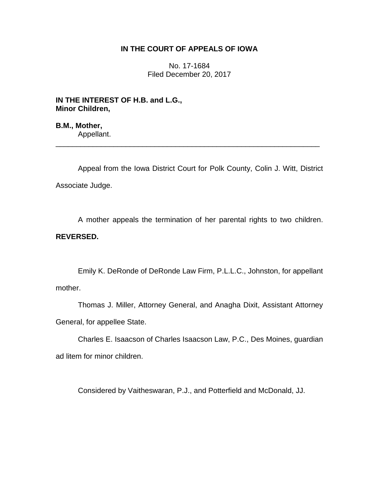## **IN THE COURT OF APPEALS OF IOWA**

No. 17-1684 Filed December 20, 2017

**IN THE INTEREST OF H.B. and L.G., Minor Children,**

**B.M., Mother,** Appellant.

Appeal from the Iowa District Court for Polk County, Colin J. Witt, District Associate Judge.

\_\_\_\_\_\_\_\_\_\_\_\_\_\_\_\_\_\_\_\_\_\_\_\_\_\_\_\_\_\_\_\_\_\_\_\_\_\_\_\_\_\_\_\_\_\_\_\_\_\_\_\_\_\_\_\_\_\_\_\_\_\_\_\_

A mother appeals the termination of her parental rights to two children. **REVERSED.**

Emily K. DeRonde of DeRonde Law Firm, P.L.L.C., Johnston, for appellant mother.

Thomas J. Miller, Attorney General, and Anagha Dixit, Assistant Attorney General, for appellee State.

Charles E. Isaacson of Charles Isaacson Law, P.C., Des Moines, guardian ad litem for minor children.

Considered by Vaitheswaran, P.J., and Potterfield and McDonald, JJ.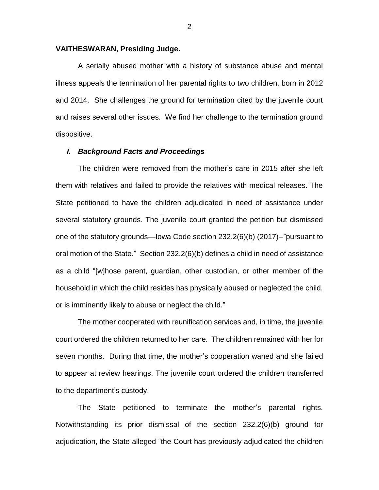## **VAITHESWARAN, Presiding Judge.**

A serially abused mother with a history of substance abuse and mental illness appeals the termination of her parental rights to two children, born in 2012 and 2014. She challenges the ground for termination cited by the juvenile court and raises several other issues. We find her challenge to the termination ground dispositive.

## *I. Background Facts and Proceedings*

The children were removed from the mother's care in 2015 after she left them with relatives and failed to provide the relatives with medical releases. The State petitioned to have the children adjudicated in need of assistance under several statutory grounds. The juvenile court granted the petition but dismissed one of the statutory grounds—Iowa Code section 232.2(6)(b) (2017)--"pursuant to oral motion of the State." Section 232.2(6)(b) defines a child in need of assistance as a child "[w]hose parent, guardian, other custodian, or other member of the household in which the child resides has physically abused or neglected the child, or is imminently likely to abuse or neglect the child."

The mother cooperated with reunification services and, in time, the juvenile court ordered the children returned to her care. The children remained with her for seven months. During that time, the mother's cooperation waned and she failed to appear at review hearings. The juvenile court ordered the children transferred to the department's custody.

The State petitioned to terminate the mother's parental rights. Notwithstanding its prior dismissal of the section 232.2(6)(b) ground for adjudication, the State alleged "the Court has previously adjudicated the children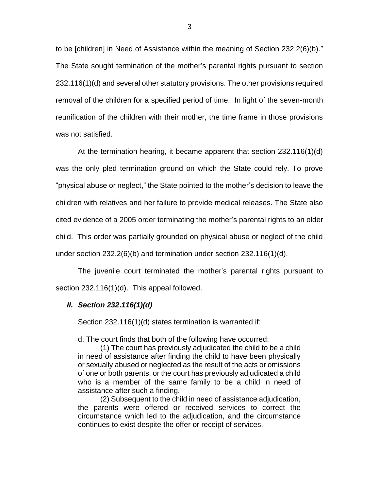to be [children] in Need of Assistance within the meaning of Section 232.2(6)(b)." The State sought termination of the mother's parental rights pursuant to section 232.116(1)(d) and several other statutory provisions. The other provisions required removal of the children for a specified period of time. In light of the seven-month reunification of the children with their mother, the time frame in those provisions was not satisfied.

At the termination hearing, it became apparent that section 232.116(1)(d) was the only pled termination ground on which the State could rely. To prove "physical abuse or neglect," the State pointed to the mother's decision to leave the children with relatives and her failure to provide medical releases. The State also cited evidence of a 2005 order terminating the mother's parental rights to an older child. This order was partially grounded on physical abuse or neglect of the child under section  $232.2(6)(b)$  and termination under section  $232.116(1)(d)$ .

The juvenile court terminated the mother's parental rights pursuant to section 232.116(1)(d). This appeal followed.

## *II. Section 232***.***116(1)(d)*

Section 232.116(1)(d) states termination is warranted if:

d. The court finds that both of the following have occurred:

(1) The court has previously adjudicated the child to be a child in need of assistance after finding the child to have been physically or sexually abused or neglected as the result of the acts or omissions of one or both parents, or the court has previously adjudicated a child who is a member of the same family to be a child in need of assistance after such a finding.

(2) Subsequent to the child in need of assistance adjudication, the parents were offered or received services to correct the circumstance which led to the adjudication, and the circumstance continues to exist despite the offer or receipt of services.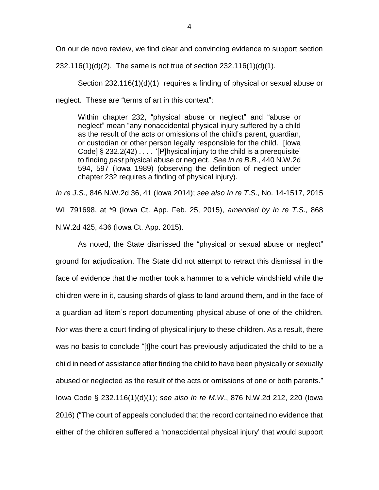On our de novo review, we find clear and convincing evidence to support section

232.116(1)(d)(2). The same is not true of section 232.116(1)(d)(1).

Section 232.116(1)(d)(1) requires a finding of physical or sexual abuse or neglect. These are "terms of art in this context":

Within chapter 232, "physical abuse or neglect" and "abuse or neglect" mean "any nonaccidental physical injury suffered by a child as the result of the acts or omissions of the child's parent, guardian, or custodian or other person legally responsible for the child. [Iowa Code] § 232.2(42) . . . . '[P]hysical injury to the child is a prerequisite' to finding *past* physical abuse or neglect. *See In re B*.*B*., 440 N.W.2d 594, 597 (Iowa 1989) (observing the definition of neglect under chapter 232 requires a finding of physical injury).

*In re J*.*S*., 846 N.W.2d 36, 41 (Iowa 2014); *see also In re T*.*S*., No. 14-1517, 2015 WL 791698, at \*9 (Iowa Ct. App. Feb. 25, 2015), *amended by In re T*.*S*., 868 N.W.2d 425, 436 (Iowa Ct. App. 2015).

As noted, the State dismissed the "physical or sexual abuse or neglect" ground for adjudication. The State did not attempt to retract this dismissal in the face of evidence that the mother took a hammer to a vehicle windshield while the children were in it, causing shards of glass to land around them, and in the face of a guardian ad litem's report documenting physical abuse of one of the children. Nor was there a court finding of physical injury to these children. As a result, there was no basis to conclude "[t]he court has previously adjudicated the child to be a child in need of assistance after finding the child to have been physically or sexually abused or neglected as the result of the acts or omissions of one or both parents." Iowa Code § 232.116(1)(d)(1); *see also In re M*.*W*., 876 N.W.2d 212, 220 (Iowa 2016) ("The court of appeals concluded that the record contained no evidence that either of the children suffered a 'nonaccidental physical injury' that would support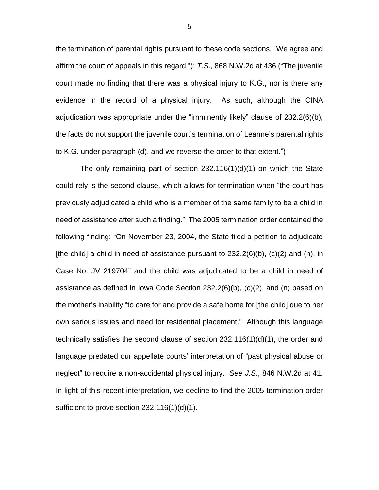the termination of parental rights pursuant to these code sections. We agree and affirm the court of appeals in this regard."); *T*.*S*., 868 N.W.2d at 436 ("The juvenile court made no finding that there was a physical injury to K.G., nor is there any evidence in the record of a physical injury. As such, although the CINA adjudication was appropriate under the "imminently likely" clause of 232.2(6)(b), the facts do not support the juvenile court's termination of Leanne's parental rights to K.G. under paragraph (d), and we reverse the order to that extent.")

The only remaining part of section  $232.116(1)(d)(1)$  on which the State could rely is the second clause, which allows for termination when "the court has previously adjudicated a child who is a member of the same family to be a child in need of assistance after such a finding." The 2005 termination order contained the following finding: "On November 23, 2004, the State filed a petition to adjudicate [the child] a child in need of assistance pursuant to  $232.2(6)(b)$ ,  $(c)(2)$  and  $(n)$ , in Case No. JV 219704" and the child was adjudicated to be a child in need of assistance as defined in Iowa Code Section 232.2(6)(b), (c)(2), and (n) based on the mother's inability "to care for and provide a safe home for [the child] due to her own serious issues and need for residential placement." Although this language technically satisfies the second clause of section 232.116(1)(d)(1), the order and language predated our appellate courts' interpretation of "past physical abuse or neglect" to require a non-accidental physical injury. *See J.S*., 846 N.W.2d at 41. In light of this recent interpretation, we decline to find the 2005 termination order sufficient to prove section 232.116(1)(d)(1).

5